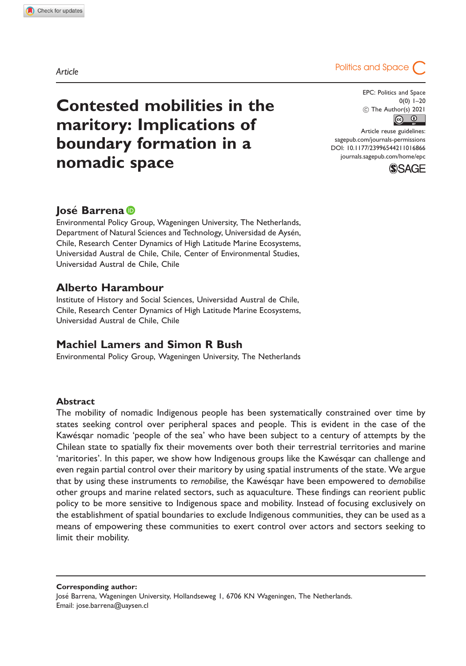# Contested mobilities in the maritory: Implications of boundary formation in a nomadic space

EPC: Politics and Space 0(0) 1–20  $\begin{array}{r} \textcircled{c} \text{ The Author(s)} 2021 \\ \hline \textcircled{c} \textcircled{f} \end{array}$ 

Article reuse guidelines: [sagepub.com/journals-permissions](http://uk.sagepub.com/en-gb/journals-permissions) [DOI: 10.1177/23996544211016866](http://dx.doi.org/10.1177/23996544211016866) <journals.sagepub.com/home/epc>



# losé Barrena D

Environmental Policy Group, Wageningen University, The Netherlands, Department of Natural Sciences and Technology, Universidad de Aysén, Chile, Research Center Dynamics of High Latitude Marine Ecosystems, Universidad Austral de Chile, Chile, Center of Environmental Studies, Universidad Austral de Chile, Chile

# Alberto Harambour

Institute of History and Social Sciences, Universidad Austral de Chile, Chile, Research Center Dynamics of High Latitude Marine Ecosystems, Universidad Austral de Chile, Chile

## Machiel Lamers and Simon R Bush

Environmental Policy Group, Wageningen University, The Netherlands

#### Abstract

The mobility of nomadic Indigenous people has been systematically constrained over time by states seeking control over peripheral spaces and people. This is evident in the case of the Kawesqar nomadic 'people of the sea' who have been subject to a century of attempts by the Chilean state to spatially fix their movements over both their terrestrial territories and marine 'maritories'. In this paper, we show how Indigenous groups like the Kawesqar can challenge and even regain partial control over their maritory by using spatial instruments of the state. We argue that by using these instruments to remobilise, the Kawesqar have been empowered to demobilise other groups and marine related sectors, such as aquaculture. These findings can reorient public policy to be more sensitive to Indigenous space and mobility. Instead of focusing exclusively on the establishment of spatial boundaries to exclude Indigenous communities, they can be used as a means of empowering these communities to exert control over actors and sectors seeking to limit their mobility.

Corresponding author:

Jose Barrena, Wageningen University, Hollandseweg 1, 6706 KN Wageningen, The Netherlands. Email: [jose.barrena@uaysen.cl](mailto:jose.barrena@uaysen.cl)

Article **Article Article**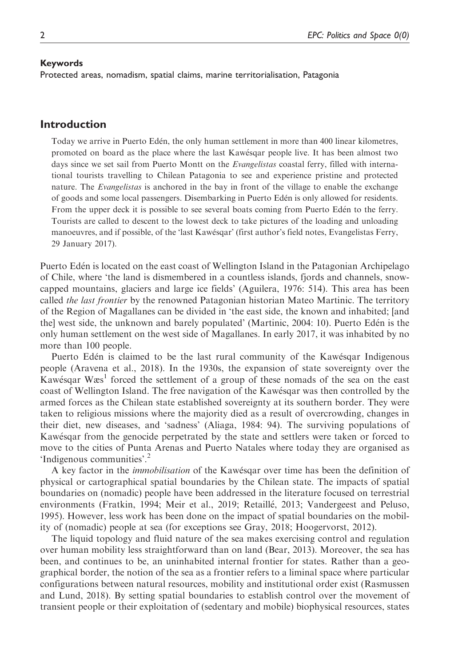#### Keywords

Protected areas, nomadism, spatial claims, marine territorialisation, Patagonia

## Introduction

Today we arrive in Puerto Eden, the only human settlement in more than 400 linear kilometres, promoted on board as the place where the last Kawesqar people live. It has been almost two days since we set sail from Puerto Montt on the *Evangelistas* coastal ferry, filled with international tourists travelling to Chilean Patagonia to see and experience pristine and protected nature. The Evangelistas is anchored in the bay in front of the village to enable the exchange of goods and some local passengers. Disembarking in Puerto Eden is only allowed for residents. From the upper deck it is possible to see several boats coming from Puerto Eden to the ferry. Tourists are called to descent to the lowest deck to take pictures of the loading and unloading manoeuvres, and if possible, of the 'last Kawesqar' (first author's field notes, Evangelistas Ferry, 29 January 2017).

Puerto Eden is located on the east coast of Wellington Island in the Patagonian Archipelago of Chile, where 'the land is dismembered in a countless islands, fjords and channels, snowcapped mountains, glaciers and large ice fields' (Aguilera, 1976: 514). This area has been called the last frontier by the renowned Patagonian historian Mateo Martinic. The territory of the Region of Magallanes can be divided in 'the east side, the known and inhabited; [and the] west side, the unknown and barely populated' (Martinic, 2004: 10). Puerto Eden is the only human settlement on the west side of Magallanes. In early 2017, it was inhabited by no more than 100 people.

Puerto Edén is claimed to be the last rural community of the Kawésqar Indigenous people (Aravena et al., 2018). In the 1930s, the expansion of state sovereignty over the Kawésqar Wæs<sup>1</sup> forced the settlement of a group of these nomads of the sea on the east coast of Wellington Island. The free navigation of the Kawesqar was then controlled by the armed forces as the Chilean state established sovereignty at its southern border. They were taken to religious missions where the majority died as a result of overcrowding, changes in their diet, new diseases, and 'sadness' (Aliaga, 1984: 94). The surviving populations of Kawesqar from the genocide perpetrated by the state and settlers were taken or forced to move to the cities of Punta Arenas and Puerto Natales where today they are organised as 'Indigenous communities'.<sup>2</sup>

A key factor in the immobilisation of the Kawesqar over time has been the definition of physical or cartographical spatial boundaries by the Chilean state. The impacts of spatial boundaries on (nomadic) people have been addressed in the literature focused on terrestrial environments (Fratkin, 1994; Meir et al., 2019; Retaille, 2013; Vandergeest and Peluso, 1995). However, less work has been done on the impact of spatial boundaries on the mobility of (nomadic) people at sea (for exceptions see Gray, 2018; Hoogervorst, 2012).

The liquid topology and fluid nature of the sea makes exercising control and regulation over human mobility less straightforward than on land (Bear, 2013). Moreover, the sea has been, and continues to be, an uninhabited internal frontier for states. Rather than a geographical border, the notion of the sea as a frontier refers to a liminal space where particular configurations between natural resources, mobility and institutional order exist (Rasmussen and Lund, 2018). By setting spatial boundaries to establish control over the movement of transient people or their exploitation of (sedentary and mobile) biophysical resources, states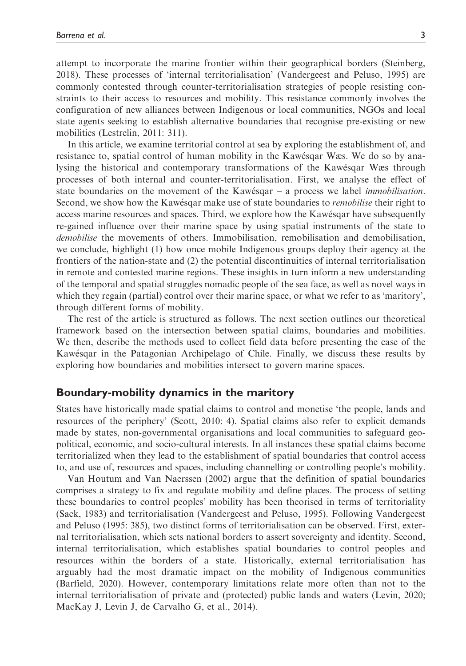attempt to incorporate the marine frontier within their geographical borders (Steinberg, 2018). These processes of 'internal territorialisation' (Vandergeest and Peluso, 1995) are commonly contested through counter-territorialisation strategies of people resisting constraints to their access to resources and mobility. This resistance commonly involves the configuration of new alliances between Indigenous or local communities, NGOs and local state agents seeking to establish alternative boundaries that recognise pre-existing or new mobilities (Lestrelin, 2011: 311).

In this article, we examine territorial control at sea by exploring the establishment of, and resistance to, spatial control of human mobility in the Kawesqar Wæs. We do so by analysing the historical and contemporary transformations of the Kawesqar Wæs through processes of both internal and counter-territorialisation. First, we analyse the effect of state boundaries on the movement of the Kawésqar – a process we label *immobilisation*. Second, we show how the Kawésqar make use of state boundaries to *remobilise* their right to access marine resources and spaces. Third, we explore how the Kawesqar have subsequently re-gained influence over their marine space by using spatial instruments of the state to demobilise the movements of others. Immobilisation, remobilisation and demobilisation, we conclude, highlight (1) how once mobile Indigenous groups deploy their agency at the frontiers of the nation-state and (2) the potential discontinuities of internal territorialisation in remote and contested marine regions. These insights in turn inform a new understanding of the temporal and spatial struggles nomadic people of the sea face, as well as novel ways in which they regain (partial) control over their marine space, or what we refer to as 'maritory', through different forms of mobility.

The rest of the article is structured as follows. The next section outlines our theoretical framework based on the intersection between spatial claims, boundaries and mobilities. We then, describe the methods used to collect field data before presenting the case of the Kawesqar in the Patagonian Archipelago of Chile. Finally, we discuss these results by exploring how boundaries and mobilities intersect to govern marine spaces.

#### Boundary-mobility dynamics in the maritory

States have historically made spatial claims to control and monetise 'the people, lands and resources of the periphery' (Scott, 2010: 4). Spatial claims also refer to explicit demands made by states, non-governmental organisations and local communities to safeguard geopolitical, economic, and socio-cultural interests. In all instances these spatial claims become territorialized when they lead to the establishment of spatial boundaries that control access to, and use of, resources and spaces, including channelling or controlling people's mobility.

Van Houtum and Van Naerssen (2002) argue that the definition of spatial boundaries comprises a strategy to fix and regulate mobility and define places. The process of setting these boundaries to control peoples' mobility has been theorised in terms of territoriality (Sack, 1983) and territorialisation (Vandergeest and Peluso, 1995). Following Vandergeest and Peluso (1995: 385), two distinct forms of territorialisation can be observed. First, external territorialisation, which sets national borders to assert sovereignty and identity. Second, internal territorialisation, which establishes spatial boundaries to control peoples and resources within the borders of a state. Historically, external territorialisation has arguably had the most dramatic impact on the mobility of Indigenous communities (Barfield, 2020). However, contemporary limitations relate more often than not to the internal territorialisation of private and (protected) public lands and waters (Levin, 2020; MacKay J, Levin J, de Carvalho G, et al., 2014).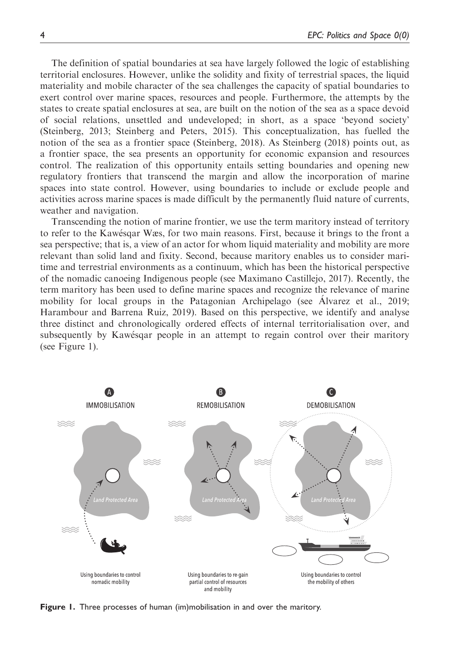The definition of spatial boundaries at sea have largely followed the logic of establishing territorial enclosures. However, unlike the solidity and fixity of terrestrial spaces, the liquid materiality and mobile character of the sea challenges the capacity of spatial boundaries to exert control over marine spaces, resources and people. Furthermore, the attempts by the states to create spatial enclosures at sea, are built on the notion of the sea as a space devoid of social relations, unsettled and undeveloped; in short, as a space 'beyond society' (Steinberg, 2013; Steinberg and Peters, 2015). This conceptualization, has fuelled the notion of the sea as a frontier space (Steinberg, 2018). As Steinberg (2018) points out, as a frontier space, the sea presents an opportunity for economic expansion and resources control. The realization of this opportunity entails setting boundaries and opening new regulatory frontiers that transcend the margin and allow the incorporation of marine spaces into state control. However, using boundaries to include or exclude people and activities across marine spaces is made difficult by the permanently fluid nature of currents, weather and navigation.

Transcending the notion of marine frontier, we use the term maritory instead of territory to refer to the Kawesqar Wæs, for two main reasons. First, because it brings to the front a sea perspective; that is, a view of an actor for whom liquid materiality and mobility are more relevant than solid land and fixity. Second, because maritory enables us to consider maritime and terrestrial environments as a continuum, which has been the historical perspective of the nomadic canoeing Indigenous people (see Maximano Castillejo, 2017). Recently, the term maritory has been used to define marine spaces and recognize the relevance of marine mobility for local groups in the Patagonian Archipelago (see Alvarez et al., 2019; Harambour and Barrena Ruiz, 2019). Based on this perspective, we identify and analyse three distinct and chronologically ordered effects of internal territorialisation over, and subsequently by Kawesqar people in an attempt to regain control over their maritory (see Figure 1).



Figure 1. Three processes of human (im)mobilisation in and over the maritory.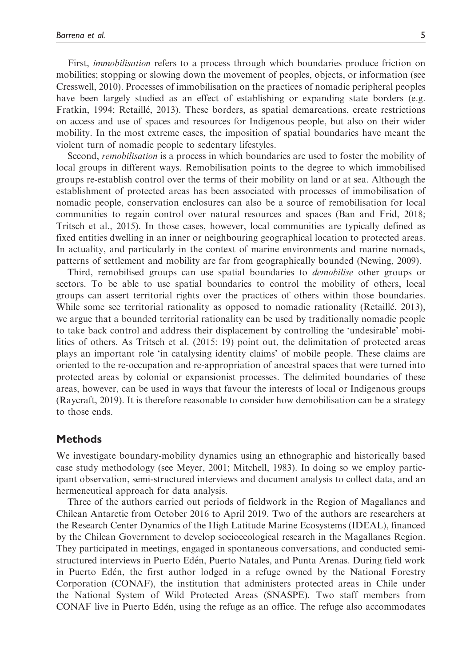First, *immobilisation* refers to a process through which boundaries produce friction on mobilities; stopping or slowing down the movement of peoples, objects, or information (see Cresswell, 2010). Processes of immobilisation on the practices of nomadic peripheral peoples have been largely studied as an effect of establishing or expanding state borders (e.g. Fratkin, 1994; Retaille, 2013). These borders, as spatial demarcations, create restrictions on access and use of spaces and resources for Indigenous people, but also on their wider mobility. In the most extreme cases, the imposition of spatial boundaries have meant the violent turn of nomadic people to sedentary lifestyles.

Second, remobilisation is a process in which boundaries are used to foster the mobility of local groups in different ways. Remobilisation points to the degree to which immobilised groups re-establish control over the terms of their mobility on land or at sea. Although the establishment of protected areas has been associated with processes of immobilisation of nomadic people, conservation enclosures can also be a source of remobilisation for local communities to regain control over natural resources and spaces (Ban and Frid, 2018; Tritsch et al., 2015). In those cases, however, local communities are typically defined as fixed entities dwelling in an inner or neighbouring geographical location to protected areas. In actuality, and particularly in the context of marine environments and marine nomads, patterns of settlement and mobility are far from geographically bounded (Newing, 2009).

Third, remobilised groups can use spatial boundaries to *demobilise* other groups or sectors. To be able to use spatial boundaries to control the mobility of others, local groups can assert territorial rights over the practices of others within those boundaries. While some see territorial rationality as opposed to nomadic rationality (Retaillé, 2013), we argue that a bounded territorial rationality can be used by traditionally nomadic people to take back control and address their displacement by controlling the 'undesirable' mobilities of others. As Tritsch et al. (2015: 19) point out, the delimitation of protected areas plays an important role 'in catalysing identity claims' of mobile people. These claims are oriented to the re-occupation and re-appropriation of ancestral spaces that were turned into protected areas by colonial or expansionist processes. The delimited boundaries of these areas, however, can be used in ways that favour the interests of local or Indigenous groups (Raycraft, 2019). It is therefore reasonable to consider how demobilisation can be a strategy to those ends.

## **Methods**

We investigate boundary-mobility dynamics using an ethnographic and historically based case study methodology (see Meyer, 2001; Mitchell, 1983). In doing so we employ participant observation, semi-structured interviews and document analysis to collect data, and an hermeneutical approach for data analysis.

Three of the authors carried out periods of fieldwork in the Region of Magallanes and Chilean Antarctic from October 2016 to April 2019. Two of the authors are researchers at the Research Center Dynamics of the High Latitude Marine Ecosystems (IDEAL), financed by the Chilean Government to develop socioecological research in the Magallanes Region. They participated in meetings, engaged in spontaneous conversations, and conducted semistructured interviews in Puerto Eden, Puerto Natales, and Punta Arenas. During field work in Puerto Eden, the first author lodged in a refuge owned by the National Forestry Corporation (CONAF), the institution that administers protected areas in Chile under the National System of Wild Protected Areas (SNASPE). Two staff members from CONAF live in Puerto Eden, using the refuge as an office. The refuge also accommodates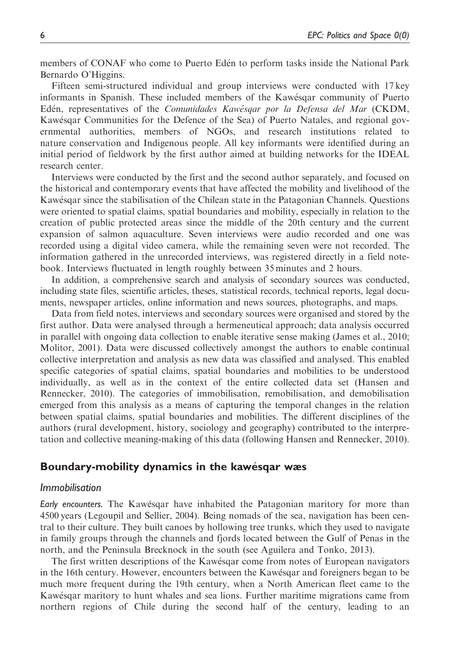members of CONAF who come to Puerto Eden to perform tasks inside the National Park Bernardo O'Higgins.

Fifteen semi-structured individual and group interviews were conducted with 17 key informants in Spanish. These included members of the Kawesqar community of Puerto Edén, representatives of the Comunidades Kawésgar por la Defensa del Mar (CKDM, Kawesqar Communities for the Defence of the Sea) of Puerto Natales, and regional governmental authorities, members of NGOs, and research institutions related to nature conservation and Indigenous people. All key informants were identified during an initial period of fieldwork by the first author aimed at building networks for the IDEAL research center.

Interviews were conducted by the first and the second author separately, and focused on the historical and contemporary events that have affected the mobility and livelihood of the Kawesqar since the stabilisation of the Chilean state in the Patagonian Channels. Questions were oriented to spatial claims, spatial boundaries and mobility, especially in relation to the creation of public protected areas since the middle of the 20th century and the current expansion of salmon aquaculture. Seven interviews were audio recorded and one was recorded using a digital video camera, while the remaining seven were not recorded. The information gathered in the unrecorded interviews, was registered directly in a field notebook. Interviews fluctuated in length roughly between 35 minutes and 2 hours.

In addition, a comprehensive search and analysis of secondary sources was conducted, including state files, scientific articles, theses, statistical records, technical reports, legal documents, newspaper articles, online information and news sources, photographs, and maps.

Data from field notes, interviews and secondary sources were organised and stored by the first author. Data were analysed through a hermeneutical approach; data analysis occurred in parallel with ongoing data collection to enable iterative sense making (James et al., 2010; Molitor, 2001). Data were discussed collectively amongst the authors to enable continual collective interpretation and analysis as new data was classified and analysed. This enabled specific categories of spatial claims, spatial boundaries and mobilities to be understood individually, as well as in the context of the entire collected data set (Hansen and Rennecker, 2010). The categories of immobilisation, remobilisation, and demobilisation emerged from this analysis as a means of capturing the temporal changes in the relation between spatial claims, spatial boundaries and mobilities. The different disciplines of the authors (rural development, history, sociology and geography) contributed to the interpretation and collective meaning-making of this data (following Hansen and Rennecker, 2010).

#### Boundary-mobility dynamics in the kawesqar wæs

#### Immobilisation

Early encounters. The Kawésqar have inhabited the Patagonian maritory for more than 4500 years (Legoupil and Sellier, 2004). Being nomads of the sea, navigation has been central to their culture. They built canoes by hollowing tree trunks, which they used to navigate in family groups through the channels and fjords located between the Gulf of Penas in the north, and the Peninsula Brecknock in the south (see Aguilera and Tonko, 2013).

The first written descriptions of the Kawesqar come from notes of European navigators in the 16th century. However, encounters between the Kawesqar and foreigners began to be much more frequent during the 19th century, when a North American fleet came to the Kawesqar maritory to hunt whales and sea lions. Further maritime migrations came from northern regions of Chile during the second half of the century, leading to an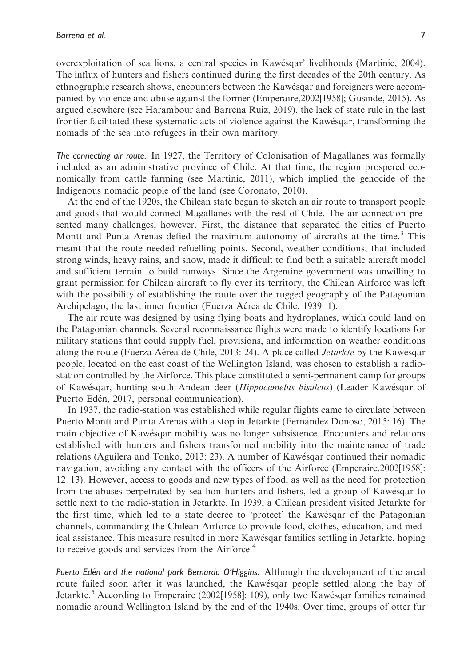overexploitation of sea lions, a central species in Kawesqar' livelihoods (Martinic, 2004). The influx of hunters and fishers continued during the first decades of the 20th century. As ethnographic research shows, encounters between the Kawesqar and foreigners were accompanied by violence and abuse against the former (Emperaire,2002[1958]; Gusinde, 2015). As argued elsewhere (see Harambour and Barrena Ruiz, 2019), the lack of state rule in the last frontier facilitated these systematic acts of violence against the Kawesqar, transforming the nomads of the sea into refugees in their own maritory.

The connecting air route. In 1927, the Territory of Colonisation of Magallanes was formally included as an administrative province of Chile. At that time, the region prospered economically from cattle farming (see Martinic, 2011), which implied the genocide of the Indigenous nomadic people of the land (see Coronato, 2010).

At the end of the 1920s, the Chilean state began to sketch an air route to transport people and goods that would connect Magallanes with the rest of Chile. The air connection presented many challenges, however. First, the distance that separated the cities of Puerto Montt and Punta Arenas defied the maximum autonomy of aircrafts at the time.<sup>3</sup> This meant that the route needed refuelling points. Second, weather conditions, that included strong winds, heavy rains, and snow, made it difficult to find both a suitable aircraft model and sufficient terrain to build runways. Since the Argentine government was unwilling to grant permission for Chilean aircraft to fly over its territory, the Chilean Airforce was left with the possibility of establishing the route over the rugged geography of the Patagonian Archipelago, the last inner frontier (Fuerza Aérea de Chile, 1939: 1).

The air route was designed by using flying boats and hydroplanes, which could land on the Patagonian channels. Several reconnaissance flights were made to identify locations for military stations that could supply fuel, provisions, and information on weather conditions along the route (Fuerza Aérea de Chile, 2013: 24). A place called *Jetarkte* by the Kawésqar people, located on the east coast of the Wellington Island, was chosen to establish a radiostation controlled by the Airforce. This place constituted a semi-permanent camp for groups of Kawesqar, hunting south Andean deer (Hippocamelus bisulcus) (Leader Kawesqar of Puerto Edén, 2017, personal communication).

In 1937, the radio-station was established while regular flights came to circulate between Puerto Montt and Punta Arenas with a stop in Jetarkte (Fernández Donoso, 2015: 16). The main objective of Kawesqar mobility was no longer subsistence. Encounters and relations established with hunters and fishers transformed mobility into the maintenance of trade relations (Aguilera and Tonko, 2013: 23). A number of Kawesqar continued their nomadic navigation, avoiding any contact with the officers of the Airforce (Emperaire,2002[1958]: 12–13). However, access to goods and new types of food, as well as the need for protection from the abuses perpetrated by sea lion hunters and fishers, led a group of Kawesqar to settle next to the radio-station in Jetarkte. In 1939, a Chilean president visited Jetarkte for the first time, which led to a state decree to 'protect' the Kawesqar of the Patagonian channels, commanding the Chilean Airforce to provide food, clothes, education, and medical assistance. This measure resulted in more Kawesqar families settling in Jetarkte, hoping to receive goods and services from the Airforce.<sup>4</sup>

Puerto Edén and the national park Bernardo O'Higgins. Although the development of the areal route failed soon after it was launched, the Kawesqar people settled along the bay of Jetarkte.<sup>5</sup> According to Emperaire (2002[1958]: 109), only two Kawésqar families remained nomadic around Wellington Island by the end of the 1940s. Over time, groups of otter fur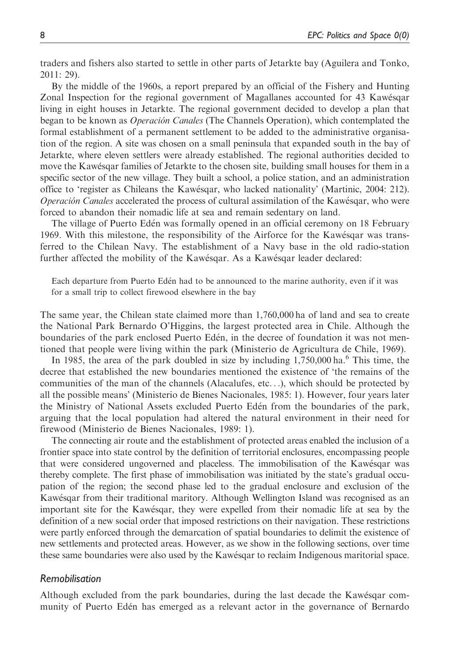traders and fishers also started to settle in other parts of Jetarkte bay (Aguilera and Tonko, 2011: 29).

By the middle of the 1960s, a report prepared by an official of the Fishery and Hunting Zonal Inspection for the regional government of Magallanes accounted for 43 Kawesqar living in eight houses in Jetarkte. The regional government decided to develop a plan that began to be known as *Operación Canales* (The Channels Operation), which contemplated the formal establishment of a permanent settlement to be added to the administrative organisation of the region. A site was chosen on a small peninsula that expanded south in the bay of Jetarkte, where eleven settlers were already established. The regional authorities decided to move the Kawésqar families of Jetarkte to the chosen site, building small houses for them in a specific sector of the new village. They built a school, a police station, and an administration office to 'register as Chileans the Kawesqar, who lacked nationality' (Martinic, 2004: 212). Operación Canales accelerated the process of cultural assimilation of the Kawésqar, who were forced to abandon their nomadic life at sea and remain sedentary on land.

The village of Puerto Eden was formally opened in an official ceremony on 18 February 1969. With this milestone, the responsibility of the Airforce for the Kawesqar was transferred to the Chilean Navy. The establishment of a Navy base in the old radio-station further affected the mobility of the Kawesqar. As a Kawesqar leader declared:

Each departure from Puerto Eden had to be announced to the marine authority, even if it was for a small trip to collect firewood elsewhere in the bay

The same year, the Chilean state claimed more than 1,760,000 ha of land and sea to create the National Park Bernardo O'Higgins, the largest protected area in Chile. Although the boundaries of the park enclosed Puerto Eden, in the decree of foundation it was not mentioned that people were living within the park (Ministerio de Agricultura de Chile, 1969).

In 1985, the area of the park doubled in size by including  $1,750,000$  ha.<sup>6</sup> This time, the decree that established the new boundaries mentioned the existence of 'the remains of the communities of the man of the channels (Alacalufes, etc...), which should be protected by all the possible means' (Ministerio de Bienes Nacionales, 1985: 1). However, four years later the Ministry of National Assets excluded Puerto Eden from the boundaries of the park, arguing that the local population had altered the natural environment in their need for firewood (Ministerio de Bienes Nacionales, 1989: 1).

The connecting air route and the establishment of protected areas enabled the inclusion of a frontier space into state control by the definition of territorial enclosures, encompassing people that were considered ungoverned and placeless. The immobilisation of the Kawesqar was thereby complete. The first phase of immobilisation was initiated by the state's gradual occupation of the region; the second phase led to the gradual enclosure and exclusion of the Kawesqar from their traditional maritory. Although Wellington Island was recognised as an important site for the Kawesqar, they were expelled from their nomadic life at sea by the definition of a new social order that imposed restrictions on their navigation. These restrictions were partly enforced through the demarcation of spatial boundaries to delimit the existence of new settlements and protected areas. However, as we show in the following sections, over time these same boundaries were also used by the Kawesqar to reclaim Indigenous maritorial space.

#### Remobilisation

Although excluded from the park boundaries, during the last decade the Kawesqar community of Puerto Eden has emerged as a relevant actor in the governance of Bernardo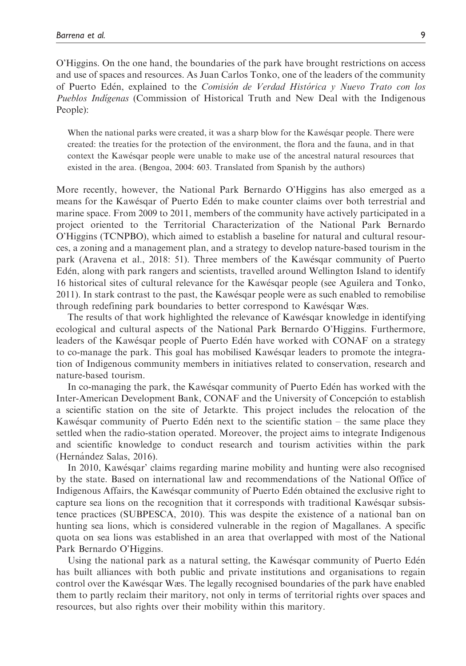O'Higgins. On the one hand, the boundaries of the park have brought restrictions on access and use of spaces and resources. As Juan Carlos Tonko, one of the leaders of the community of Puerto Edén, explained to the Comisión de Verdad Histórica y Nuevo Trato con los Pueblos Indígenas (Commission of Historical Truth and New Deal with the Indigenous People):

When the national parks were created, it was a sharp blow for the Kawésqar people. There were created: the treaties for the protection of the environment, the flora and the fauna, and in that context the Kawesqar people were unable to make use of the ancestral natural resources that existed in the area. (Bengoa, 2004: 603. Translated from Spanish by the authors)

More recently, however, the National Park Bernardo O'Higgins has also emerged as a means for the Kawesqar of Puerto Eden to make counter claims over both terrestrial and marine space. From 2009 to 2011, members of the community have actively participated in a project oriented to the Territorial Characterization of the National Park Bernardo O'Higgins (TCNPBO), which aimed to establish a baseline for natural and cultural resources, a zoning and a management plan, and a strategy to develop nature-based tourism in the park (Aravena et al., 2018: 51). Three members of the Kawesqar community of Puerto Eden, along with park rangers and scientists, travelled around Wellington Island to identify 16 historical sites of cultural relevance for the Kawesqar people (see Aguilera and Tonko, 2011). In stark contrast to the past, the Kawesqar people were as such enabled to remobilise through redefining park boundaries to better correspond to Kawesqar Wæs.

The results of that work highlighted the relevance of Kawesqar knowledge in identifying ecological and cultural aspects of the National Park Bernardo O'Higgins. Furthermore, leaders of the Kawésqar people of Puerto Edén have worked with CONAF on a strategy to co-manage the park. This goal has mobilised Kawesqar leaders to promote the integration of Indigenous community members in initiatives related to conservation, research and nature-based tourism.

In co-managing the park, the Kawesqar community of Puerto Eden has worked with the Inter-American Development Bank, CONAF and the University of Concepcion to establish a scientific station on the site of Jetarkte. This project includes the relocation of the Kawésqar community of Puerto Edén next to the scientific station - the same place they settled when the radio-station operated. Moreover, the project aims to integrate Indigenous and scientific knowledge to conduct research and tourism activities within the park (Hernández Salas, 2016).

In 2010, Kawesqar' claims regarding marine mobility and hunting were also recognised by the state. Based on international law and recommendations of the National Office of Indigenous Affairs, the Kawesqar community of Puerto Eden obtained the exclusive right to capture sea lions on the recognition that it corresponds with traditional Kawesqar subsistence practices (SUBPESCA, 2010). This was despite the existence of a national ban on hunting sea lions, which is considered vulnerable in the region of Magallanes. A specific quota on sea lions was established in an area that overlapped with most of the National Park Bernardo O'Higgins.

Using the national park as a natural setting, the Kawesqar community of Puerto Eden has built alliances with both public and private institutions and organisations to regain control over the Kawesqar Wæs. The legally recognised boundaries of the park have enabled them to partly reclaim their maritory, not only in terms of territorial rights over spaces and resources, but also rights over their mobility within this maritory.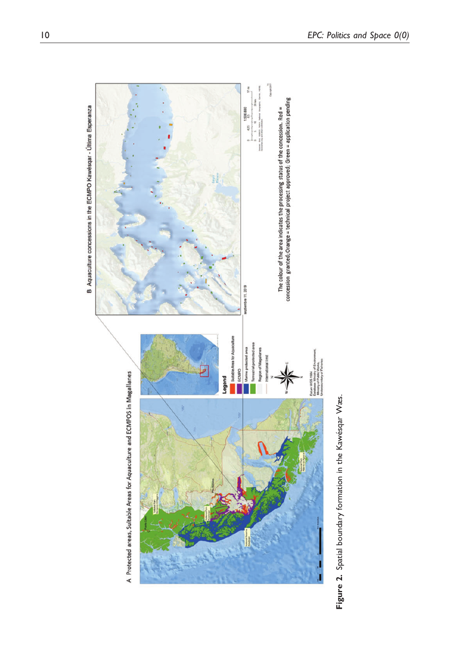

Figure 2. Spatial boundary formation in the Kawésqar Wæs. Figure 2. Spatial boundary formation in the Kawésqar Wæs.

B Aquaculture concessions in the ECMPO Kawésqar - Última Esperanza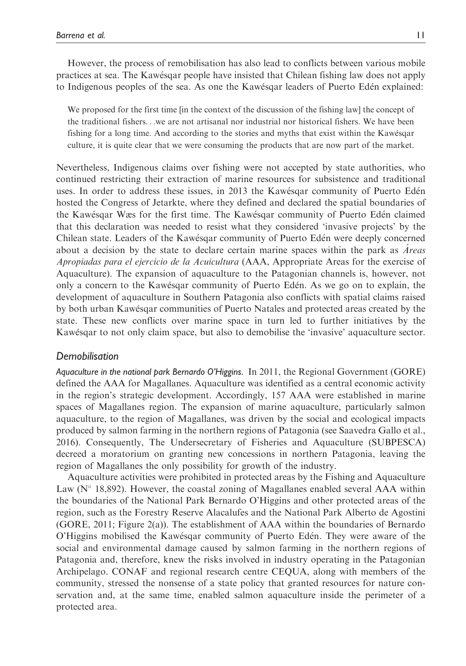However, the process of remobilisation has also lead to conflicts between various mobile practices at sea. The Kawesqar people have insisted that Chilean fishing law does not apply to Indigenous peoples of the sea. As one the Kawesqar leaders of Puerto Eden explained:

We proposed for the first time lin the context of the discussion of the fishing lawl the concept of the traditional fishers...we are not artisanal nor industrial nor historical fishers. We have been fishing for a long time. And according to the stories and myths that exist within the Kawesqar culture, it is quite clear that we were consuming the products that are now part of the market.

Nevertheless, Indigenous claims over fishing were not accepted by state authorities, who continued restricting their extraction of marine resources for subsistence and traditional uses. In order to address these issues, in 2013 the Kawesqar community of Puerto Eden hosted the Congress of Jetarkte, where they defined and declared the spatial boundaries of the Kawesqar Wæs for the first time. The Kawesqar community of Puerto Eden claimed that this declaration was needed to resist what they considered 'invasive projects' by the Chilean state. Leaders of the Kawesqar community of Puerto Eden were deeply concerned about a decision by the state to declare certain marine spaces within the park as  $\dot{A}$ reas Apropiadas para el ejercicio de la Acuicultura (AAA, Appropriate Areas for the exercise of Aquaculture). The expansion of aquaculture to the Patagonian channels is, however, not only a concern to the Kawesqar community of Puerto Eden. As we go on to explain, the development of aquaculture in Southern Patagonia also conflicts with spatial claims raised by both urban Kawesqar communities of Puerto Natales and protected areas created by the state. These new conflicts over marine space in turn led to further initiatives by the Kawesqar to not only claim space, but also to demobilise the 'invasive' aquaculture sector.

#### Demobilisation

Aquaculture in the national park Bernardo O'Higgins. In 2011, the Regional Government (GORE) defined the AAA for Magallanes. Aquaculture was identified as a central economic activity in the region's strategic development. Accordingly, 157 AAA were established in marine spaces of Magallanes region. The expansion of marine aquaculture, particularly salmon aquaculture, to the region of Magallanes, was driven by the social and ecological impacts produced by salmon farming in the northern regions of Patagonia (see Saavedra Gallo et al., 2016). Consequently, The Undersecretary of Fisheries and Aquaculture (SUBPESCA) decreed a moratorium on granting new concessions in northern Patagonia, leaving the region of Magallanes the only possibility for growth of the industry.

Aquaculture activities were prohibited in protected areas by the Fishing and Aquaculture Law ( $N^{\circ}$  18,892). However, the coastal zoning of Magallanes enabled several AAA within the boundaries of the National Park Bernardo O'Higgins and other protected areas of the region, such as the Forestry Reserve Alacalufes and the National Park Alberto de Agostini (GORE, 2011; Figure 2(a)). The establishment of AAA within the boundaries of Bernardo O'Higgins mobilised the Kawesqar community of Puerto Eden. They were aware of the social and environmental damage caused by salmon farming in the northern regions of Patagonia and, therefore, knew the risks involved in industry operating in the Patagonian Archipelago. CONAF and regional research centre CEQUA, along with members of the community, stressed the nonsense of a state policy that granted resources for nature conservation and, at the same time, enabled salmon aquaculture inside the perimeter of a protected area.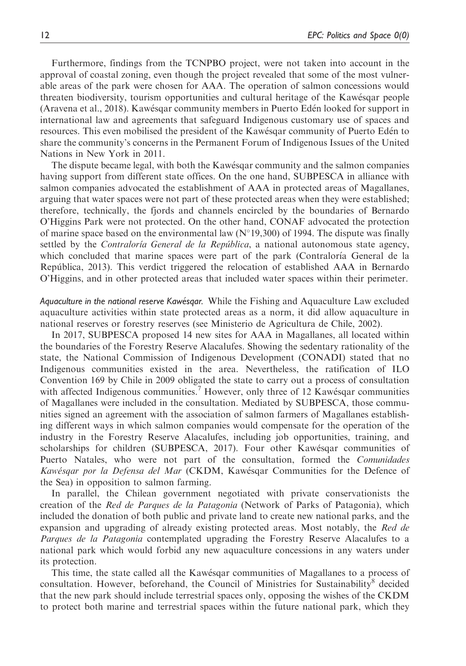Furthermore, findings from the TCNPBO project, were not taken into account in the approval of coastal zoning, even though the project revealed that some of the most vulnerable areas of the park were chosen for AAA. The operation of salmon concessions would threaten biodiversity, tourism opportunities and cultural heritage of the Kawesqar people (Aravena et al., 2018). Kawesqar community members in Puerto Eden looked for support in international law and agreements that safeguard Indigenous customary use of spaces and resources. This even mobilised the president of the Kawesqar community of Puerto Eden to share the community's concerns in the Permanent Forum of Indigenous Issues of the United Nations in New York in 2011.

The dispute became legal, with both the Kawesqar community and the salmon companies having support from different state offices. On the one hand, SUBPESCA in alliance with salmon companies advocated the establishment of AAA in protected areas of Magallanes, arguing that water spaces were not part of these protected areas when they were established; therefore, technically, the fjords and channels encircled by the boundaries of Bernardo O'Higgins Park were not protected. On the other hand, CONAF advocated the protection of marine space based on the environmental law  $(N^{\circ}19,300)$  of 1994. The dispute was finally settled by the *Contraloría General de la República*, a national autonomous state agency, which concluded that marine spaces were part of the park (Contraloría General de la Republica, 2013). This verdict triggered the relocation of established AAA in Bernardo O'Higgins, and in other protected areas that included water spaces within their perimeter.

Aquaculture in the national reserve Kawesqar. While the Fishing and Aquaculture Law excluded aquaculture activities within state protected areas as a norm, it did allow aquaculture in national reserves or forestry reserves (see Ministerio de Agricultura de Chile, 2002).

In 2017, SUBPESCA proposed 14 new sites for AAA in Magallanes, all located within the boundaries of the Forestry Reserve Alacalufes. Showing the sedentary rationality of the state, the National Commission of Indigenous Development (CONADI) stated that no Indigenous communities existed in the area. Nevertheless, the ratification of ILO Convention 169 by Chile in 2009 obligated the state to carry out a process of consultation with affected Indigenous communities.<sup>7</sup> However, only three of 12 Kawésqar communities of Magallanes were included in the consultation. Mediated by SUBPESCA, those communities signed an agreement with the association of salmon farmers of Magallanes establishing different ways in which salmon companies would compensate for the operation of the industry in the Forestry Reserve Alacalufes, including job opportunities, training, and scholarships for children (SUBPESCA, 2017). Four other Kawesqar communities of Puerto Natales, who were not part of the consultation, formed the *Comunidades* Kawésqar por la Defensa del Mar (CKDM, Kawésqar Communities for the Defence of the Sea) in opposition to salmon farming.

In parallel, the Chilean government negotiated with private conservationists the creation of the Red de Parques de la Patagonia (Network of Parks of Patagonia), which included the donation of both public and private land to create new national parks, and the expansion and upgrading of already existing protected areas. Most notably, the Red de Parques de la Patagonia contemplated upgrading the Forestry Reserve Alacalufes to a national park which would forbid any new aquaculture concessions in any waters under its protection.

This time, the state called all the Kawesqar communities of Magallanes to a process of consultation. However, beforehand, the Council of Ministries for Sustainability<sup>8</sup> decided that the new park should include terrestrial spaces only, opposing the wishes of the CKDM to protect both marine and terrestrial spaces within the future national park, which they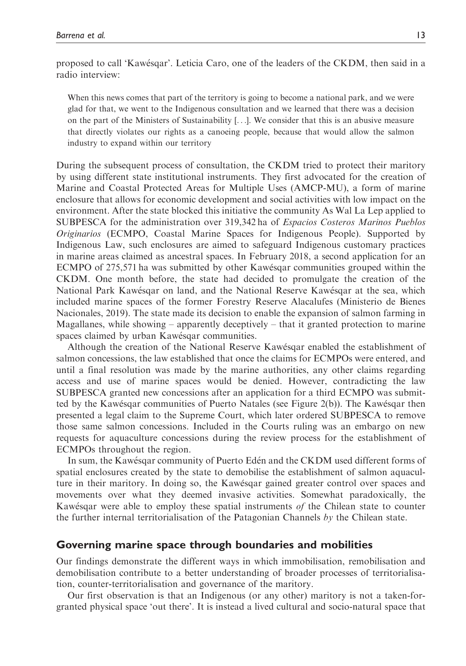proposed to call 'Kawesqar'. Leticia Caro, one of the leaders of the CKDM, then said in a radio interview:

When this news comes that part of the territory is going to become a national park, and we were glad for that, we went to the Indigenous consultation and we learned that there was a decision on the part of the Ministers of Sustainability [...]. We consider that this is an abusive measure that directly violates our rights as a canoeing people, because that would allow the salmon industry to expand within our territory

During the subsequent process of consultation, the CKDM tried to protect their maritory by using different state institutional instruments. They first advocated for the creation of Marine and Coastal Protected Areas for Multiple Uses (AMCP-MU), a form of marine enclosure that allows for economic development and social activities with low impact on the environment. After the state blocked this initiative the community As Wal La Lep applied to SUBPESCA for the administration over 319,342 ha of Espacios Costeros Marinos Pueblos Originarios (ECMPO, Coastal Marine Spaces for Indigenous People). Supported by Indigenous Law, such enclosures are aimed to safeguard Indigenous customary practices in marine areas claimed as ancestral spaces. In February 2018, a second application for an ECMPO of 275,571 ha was submitted by other Kawesqar communities grouped within the CKDM. One month before, the state had decided to promulgate the creation of the National Park Kawesqar on land, and the National Reserve Kawesqar at the sea, which included marine spaces of the former Forestry Reserve Alacalufes (Ministerio de Bienes Nacionales, 2019). The state made its decision to enable the expansion of salmon farming in Magallanes, while showing – apparently deceptively – that it granted protection to marine spaces claimed by urban Kawésqar communities.

Although the creation of the National Reserve Kawesqar enabled the establishment of salmon concessions, the law established that once the claims for ECMPOs were entered, and until a final resolution was made by the marine authorities, any other claims regarding access and use of marine spaces would be denied. However, contradicting the law SUBPESCA granted new concessions after an application for a third ECMPO was submitted by the Kawesqar communities of Puerto Natales (see Figure 2(b)). The Kawesqar then presented a legal claim to the Supreme Court, which later ordered SUBPESCA to remove those same salmon concessions. Included in the Courts ruling was an embargo on new requests for aquaculture concessions during the review process for the establishment of ECMPOs throughout the region.

In sum, the Kawesqar community of Puerto Eden and the CKDM used different forms of spatial enclosures created by the state to demobilise the establishment of salmon aquaculture in their maritory. In doing so, the Kawesqar gained greater control over spaces and movements over what they deemed invasive activities. Somewhat paradoxically, the Kawes are were able to employ these spatial instruments of the Chilean state to counter the further internal territorialisation of the Patagonian Channels by the Chilean state.

#### Governing marine space through boundaries and mobilities

Our findings demonstrate the different ways in which immobilisation, remobilisation and demobilisation contribute to a better understanding of broader processes of territorialisation, counter-territorialisation and governance of the maritory.

Our first observation is that an Indigenous (or any other) maritory is not a taken-forgranted physical space 'out there'. It is instead a lived cultural and socio-natural space that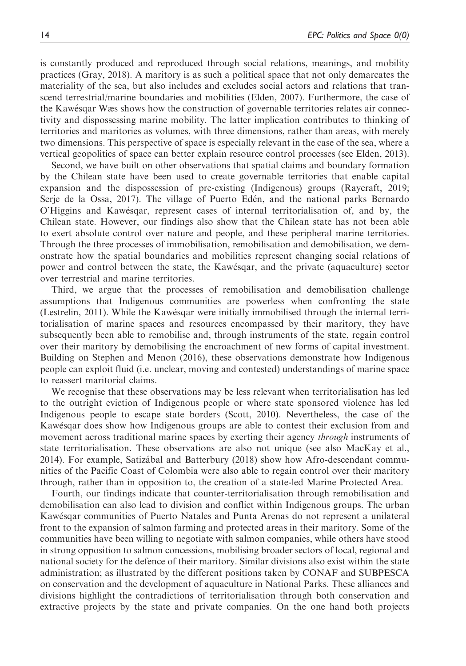is constantly produced and reproduced through social relations, meanings, and mobility practices (Gray, 2018). A maritory is as such a political space that not only demarcates the materiality of the sea, but also includes and excludes social actors and relations that transcend terrestrial/marine boundaries and mobilities (Elden, 2007). Furthermore, the case of the Kawesqar Wæs shows how the construction of governable territories relates air connectivity and dispossessing marine mobility. The latter implication contributes to thinking of territories and maritories as volumes, with three dimensions, rather than areas, with merely two dimensions. This perspective of space is especially relevant in the case of the sea, where a vertical geopolitics of space can better explain resource control processes (see Elden, 2013).

Second, we have built on other observations that spatial claims and boundary formation by the Chilean state have been used to create governable territories that enable capital expansion and the dispossession of pre-existing (Indigenous) groups (Raycraft, 2019; Serje de la Ossa, 2017). The village of Puerto Eden, and the national parks Bernardo O'Higgins and Kawesqar, represent cases of internal territorialisation of, and by, the Chilean state. However, our findings also show that the Chilean state has not been able to exert absolute control over nature and people, and these peripheral marine territories. Through the three processes of immobilisation, remobilisation and demobilisation, we demonstrate how the spatial boundaries and mobilities represent changing social relations of power and control between the state, the Kawesqar, and the private (aquaculture) sector over terrestrial and marine territories.

Third, we argue that the processes of remobilisation and demobilisation challenge assumptions that Indigenous communities are powerless when confronting the state (Lestrelin, 2011). While the Kawesqar were initially immobilised through the internal territorialisation of marine spaces and resources encompassed by their maritory, they have subsequently been able to remobilise and, through instruments of the state, regain control over their maritory by demobilising the encroachment of new forms of capital investment. Building on Stephen and Menon (2016), these observations demonstrate how Indigenous people can exploit fluid (i.e. unclear, moving and contested) understandings of marine space to reassert maritorial claims.

We recognise that these observations may be less relevant when territorialisation has led to the outright eviction of Indigenous people or where state sponsored violence has led Indigenous people to escape state borders (Scott, 2010). Nevertheless, the case of the Kawesqar does show how Indigenous groups are able to contest their exclusion from and movement across traditional marine spaces by exerting their agency *through* instruments of state territorialisation. These observations are also not unique (see also MacKay et al., 2014). For example, Satiza´bal and Batterbury (2018) show how Afro-descendant communities of the Pacific Coast of Colombia were also able to regain control over their maritory through, rather than in opposition to, the creation of a state-led Marine Protected Area.

Fourth, our findings indicate that counter-territorialisation through remobilisation and demobilisation can also lead to division and conflict within Indigenous groups. The urban Kawesqar communities of Puerto Natales and Punta Arenas do not represent a unilateral front to the expansion of salmon farming and protected areas in their maritory. Some of the communities have been willing to negotiate with salmon companies, while others have stood in strong opposition to salmon concessions, mobilising broader sectors of local, regional and national society for the defence of their maritory. Similar divisions also exist within the state administration; as illustrated by the different positions taken by CONAF and SUBPESCA on conservation and the development of aquaculture in National Parks. These alliances and divisions highlight the contradictions of territorialisation through both conservation and extractive projects by the state and private companies. On the one hand both projects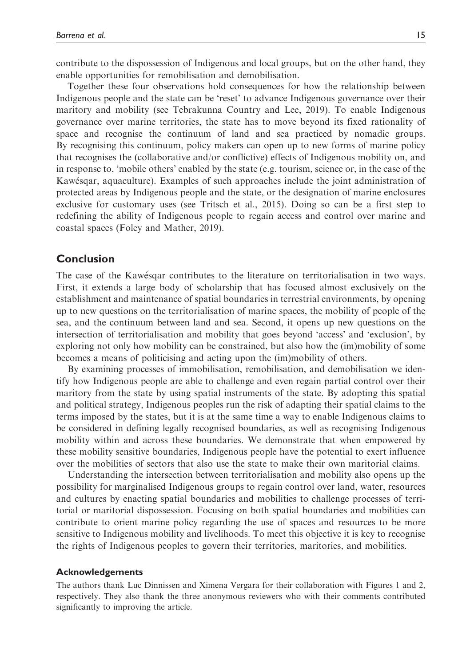contribute to the dispossession of Indigenous and local groups, but on the other hand, they enable opportunities for remobilisation and demobilisation.

Together these four observations hold consequences for how the relationship between Indigenous people and the state can be 'reset' to advance Indigenous governance over their maritory and mobility (see Tebrakunna Country and Lee, 2019). To enable Indigenous governance over marine territories, the state has to move beyond its fixed rationality of space and recognise the continuum of land and sea practiced by nomadic groups. By recognising this continuum, policy makers can open up to new forms of marine policy that recognises the (collaborative and/or conflictive) effects of Indigenous mobility on, and in response to, 'mobile others' enabled by the state (e.g. tourism, science or, in the case of the Kawesqar, aquaculture). Examples of such approaches include the joint administration of protected areas by Indigenous people and the state, or the designation of marine enclosures exclusive for customary uses (see Tritsch et al., 2015). Doing so can be a first step to redefining the ability of Indigenous people to regain access and control over marine and coastal spaces (Foley and Mather, 2019).

## Conclusion

The case of the Kawesqar contributes to the literature on territorialisation in two ways. First, it extends a large body of scholarship that has focused almost exclusively on the establishment and maintenance of spatial boundaries in terrestrial environments, by opening up to new questions on the territorialisation of marine spaces, the mobility of people of the sea, and the continuum between land and sea. Second, it opens up new questions on the intersection of territorialisation and mobility that goes beyond 'access' and 'exclusion', by exploring not only how mobility can be constrained, but also how the (im)mobility of some becomes a means of politicising and acting upon the (im)mobility of others.

By examining processes of immobilisation, remobilisation, and demobilisation we identify how Indigenous people are able to challenge and even regain partial control over their maritory from the state by using spatial instruments of the state. By adopting this spatial and political strategy, Indigenous peoples run the risk of adapting their spatial claims to the terms imposed by the states, but it is at the same time a way to enable Indigenous claims to be considered in defining legally recognised boundaries, as well as recognising Indigenous mobility within and across these boundaries. We demonstrate that when empowered by these mobility sensitive boundaries, Indigenous people have the potential to exert influence over the mobilities of sectors that also use the state to make their own maritorial claims.

Understanding the intersection between territorialisation and mobility also opens up the possibility for marginalised Indigenous groups to regain control over land, water, resources and cultures by enacting spatial boundaries and mobilities to challenge processes of territorial or maritorial dispossession. Focusing on both spatial boundaries and mobilities can contribute to orient marine policy regarding the use of spaces and resources to be more sensitive to Indigenous mobility and livelihoods. To meet this objective it is key to recognise the rights of Indigenous peoples to govern their territories, maritories, and mobilities.

#### Acknowledgements

The authors thank Luc Dinnissen and Ximena Vergara for their collaboration with Figures 1 and 2, respectively. They also thank the three anonymous reviewers who with their comments contributed significantly to improving the article.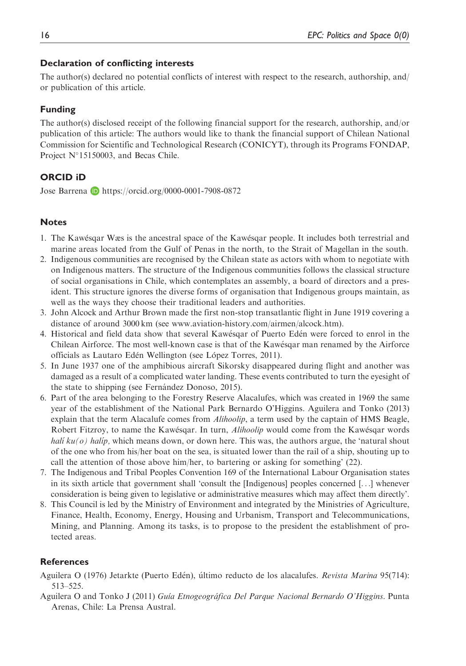## Declaration of conflicting interests

The author(s) declared no potential conflicts of interest with respect to the research, authorship, and/ or publication of this article.

## Funding

The author(s) disclosed receipt of the following financial support for the research, authorship, and/or publication of this article: The authors would like to thank the financial support of Chilean National Commission for Scientific and Technological Research (CONICYT), through its Programs FONDAP, Project N°15150003, and Becas Chile.

# ORCID iD

Jose Barrena **b** <https://orcid.org/0000-0001-7908-0872>

## **Notes**

- 1. The Kawesqar Wæs is the ancestral space of the Kawesqar people. It includes both terrestrial and marine areas located from the Gulf of Penas in the north, to the Strait of Magellan in the south.
- 2. Indigenous communities are recognised by the Chilean state as actors with whom to negotiate with on Indigenous matters. The structure of the Indigenous communities follows the classical structure of social organisations in Chile, which contemplates an assembly, a board of directors and a president. This structure ignores the diverse forms of organisation that Indigenous groups maintain, as well as the ways they choose their traditional leaders and authorities.
- 3. John Alcock and Arthur Brown made the first non-stop transatlantic flight in June 1919 covering a distance of around 3000 km (see [www.aviation-history.com/airmen/alcock.htm\)](http://www.aviation-history.com/airmen/alcock.htm).
- 4. Historical and field data show that several Kawesqar of Puerto Eden were forced to enrol in the Chilean Airforce. The most well-known case is that of the Kawesqar man renamed by the Airforce officials as Lautaro Edén Wellington (see López Torres, 2011).
- 5. In June 1937 one of the amphibious aircraft Sikorsky disappeared during flight and another was damaged as a result of a complicated water landing. These events contributed to turn the eyesight of the state to shipping (see Fernández Donoso, 2015).
- 6. Part of the area belonging to the Forestry Reserve Alacalufes, which was created in 1969 the same year of the establishment of the National Park Bernardo O'Higgins. Aguilera and Tonko (2013) explain that the term Alacalufe comes from *Alihoolip*, a term used by the captain of HMS Beagle, Robert Fitzroy, to name the Kawesqar. In turn, Alihoolip would come from the Kawesqar words halí  $ku(\rho)$  halíp, which means down, or down here. This was, the authors argue, the 'natural shout of the one who from his/her boat on the sea, is situated lower than the rail of a ship, shouting up to call the attention of those above him/her, to bartering or asking for something' (22).
- 7. The Indigenous and Tribal Peoples Convention 169 of the International Labour Organisation states in its sixth article that government shall 'consult the [Indigenous] peoples concerned [...] whenever consideration is being given to legislative or administrative measures which may affect them directly'.
- 8. This Council is led by the Ministry of Environment and integrated by the Ministries of Agriculture, Finance, Health, Economy, Energy, Housing and Urbanism, Transport and Telecommunications, Mining, and Planning. Among its tasks, is to propose to the president the establishment of protected areas.

## **References**

- Aguilera O (1976) Jetarkte (Puerto Edén), último reducto de los alacalufes. Revista Marina 95(714): 513–525.
- Aguilera O and Tonko J (2011) Guía Etnogeográfica Del Parque Nacional Bernardo O'Higgins. Punta Arenas, Chile: La Prensa Austral.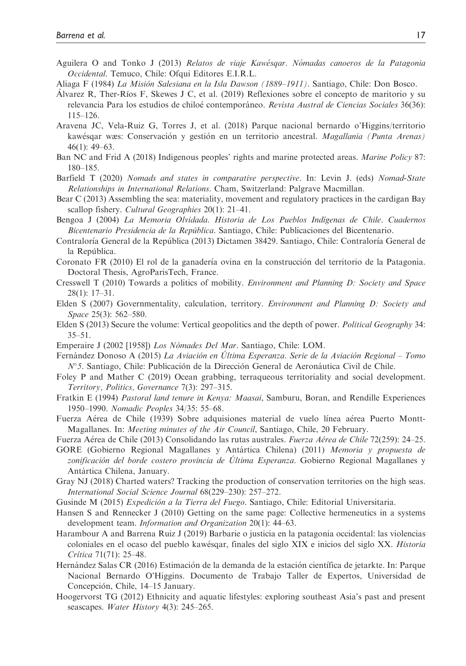- Aguilera O and Tonko J (2013) Relatos de viaje Kawésgar. Nómadas canoeros de la Patagonia Occidental. Temuco, Chile: Ofqui Editores E.I.R.L.
- Aliaga F (1984) La Mision Salesiana en la Isla Dawson (1889–1911) . Santiago, Chile: Don Bosco.
- Álvarez R, Ther-Ríos F, Skewes J C, et al. (2019) Reflexiones sobre el concepto de maritorio y su relevancia Para los estudios de chiloé contemporáneo. Revista Austral de Ciencias Sociales 36(36): 115–126.
- Aravena JC, Vela-Ruiz G, Torres J, et al. (2018) Parque nacional bernardo o'Higgins/territorio kawésqar wæs: Conservación y gestión en un territorio ancestral. Magallania (Punta Arenas) 46(1): 49–63.
- Ban NC and Frid A (2018) Indigenous peoples' rights and marine protected areas. Marine Policy 87: 180–185.
- Barfield T (2020) Nomads and states in comparative perspective. In: Levin J. (eds) Nomad-State Relationships in International Relations. Cham, Switzerland: Palgrave Macmillan.
- Bear C (2013) Assembling the sea: materiality, movement and regulatory practices in the cardigan Bay scallop fishery. Cultural Geographies 20(1): 21-41.
- Bengoa J (2004) La Memoria Olvidada. Historia de Los Pueblos Indıgenas de Chile. Cuadernos Bicentenario Presidencia de la República. Santiago, Chile: Publicaciones del Bicentenario.
- Contraloría General de la República (2013) Dictamen 38429. Santiago, Chile: Contraloría General de la República.
- Coronato FR (2010) El rol de la ganaderıa ovina en la construccion del territorio de la Patagonia. Doctoral Thesis, AgroParisTech, France.
- Cresswell T (2010) Towards a politics of mobility. Environment and Planning D: Society and Space 28(1): 17–31.
- Elden S (2007) Governmentality, calculation, territory. Environment and Planning D: Society and Space 25(3): 562–580.
- Elden S (2013) Secure the volume: Vertical geopolitics and the depth of power. Political Geography 34: 35–51.
- Emperaire J (2002 [1958]) Los Nómades Del Mar. Santiago, Chile: LOM.
- Fernández Donoso A (2015) La Aviación en Última Esperanza. Serie de la Aviación Regional Tomo  $N^{\circ}$ 5. Santiago, Chile: Publicación de la Dirección General de Aeronáutica Civil de Chile.
- Foley P and Mather C (2019) Ocean grabbing, terraqueous territoriality and social development. Territory, Politics, Governance 7(3): 297–315.
- Fratkin E (1994) Pastoral land tenure in Kenya: Maasai, Samburu, Boran, and Rendille Experiences 1950–1990. Nomadic Peoples 34/35: 55–68.
- Fuerza Aérea de Chile (1939) Sobre adquisiones material de vuelo línea aérea Puerto Montt-Magallanes. In: Meeting minutes of the Air Council, Santiago, Chile, 20 February.
- Fuerza Aerea de Chile (2013) Consolidando las rutas australes. Fuerza Aerea de Chile 72(259): 24–25.
- GORE (Gobierno Regional Magallanes y Antártica Chilena) (2011) Memoria y propuesta de zonificación del borde costero provincia de Última Esperanza. Gobierno Regional Magallanes y Antártica Chilena, January.
- Gray NJ (2018) Charted waters? Tracking the production of conservation territories on the high seas. International Social Science Journal 68(229–230): 257–272.
- Gusinde M (2015) Expedición a la Tierra del Fuego. Santiago, Chile: Editorial Universitaria.
- Hansen S and Rennecker J (2010) Getting on the same page: Collective hermeneutics in a systems development team. Information and Organization 20(1): 44–63.
- Harambour A and Barrena Ruiz J (2019) Barbarie o justicia en la patagonia occidental: las violencias coloniales en el ocaso del pueblo kawesqar, finales del siglo XIX e inicios del siglo XX. Historia Crítica 71(71): 25–48.
- Hernández Salas CR (2016) Estimación de la demanda de la estación científica de jetarkte. In: Parque Nacional Bernardo O'Higgins. Documento de Trabajo Taller de Expertos, Universidad de Concepcion, Chile, 14–15 January.
- Hoogervorst TG (2012) Ethnicity and aquatic lifestyles: exploring southeast Asia's past and present seascapes. Water History 4(3): 245-265.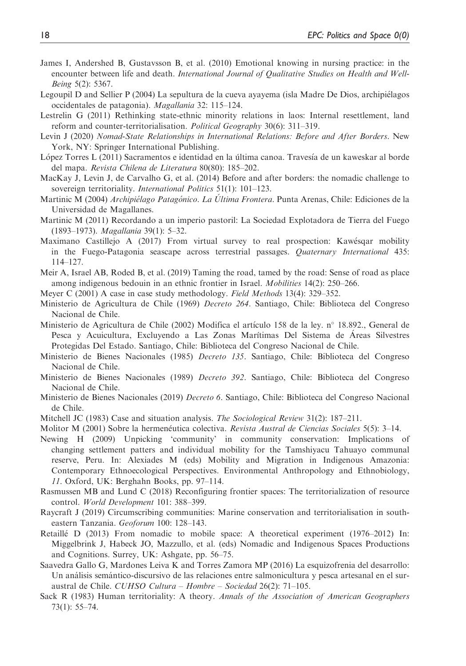- James I, Andershed B, Gustavsson B, et al. (2010) Emotional knowing in nursing practice: in the encounter between life and death. International Journal of Qualitative Studies on Health and Well-Being 5(2): 5367.
- Legoupil D and Sellier P (2004) La sepultura de la cueva ayayema (isla Madre De Dios, archipielagos occidentales de patagonia). Magallania 32: 115–124.
- Lestrelin G (2011) Rethinking state-ethnic minority relations in laos: Internal resettlement, land reform and counter-territorialisation. Political Geography 30(6): 311–319.
- Levin J (2020) Nomad-State Relationships in International Relations: Before and After Borders. New York, NY: Springer International Publishing.
- López Torres L (2011) Sacramentos e identidad en la última canoa. Travesía de un kaweskar al borde del mapa. Revista Chilena de Literatura 80(80): 185–202.
- MacKay J, Levin J, de Carvalho G, et al. (2014) Before and after borders: the nomadic challenge to sovereign territoriality. International Politics 51(1): 101-123.
- Martinic M (2004) Archipiélago Patagónico. La Última Frontera. Punta Arenas, Chile: Ediciones de la Universidad de Magallanes.
- Martinic M (2011) Recordando a un imperio pastoril: La Sociedad Explotadora de Tierra del Fuego (1893–1973). Magallania 39(1): 5–32.
- Maximano Castillejo A (2017) From virtual survey to real prospection: Kawesqar mobility in the Fuego-Patagonia seascape across terrestrial passages. Quaternary International 435: 114–127.
- Meir A, Israel AB, Roded B, et al. (2019) Taming the road, tamed by the road: Sense of road as place among indigenous bedouin in an ethnic frontier in Israel. *Mobilities* 14(2): 250–266.
- Meyer C (2001) A case in case study methodology. Field Methods 13(4): 329–352.
- Ministerio de Agricultura de Chile (1969) Decreto 264. Santiago, Chile: Biblioteca del Congreso Nacional de Chile.
- Ministerio de Agricultura de Chile (2002) Modifica el artículo 158 de la ley. nº 18.892., General de Pesca y Acuicultura, Excluyendo a Las Zonas Marıtimas Del Sistema de Areas Silvestres Protegidas Del Estado. Santiago, Chile: Biblioteca del Congreso Nacional de Chile.
- Ministerio de Bienes Nacionales (1985) Decreto 135. Santiago, Chile: Biblioteca del Congreso Nacional de Chile.
- Ministerio de Bienes Nacionales (1989) Decreto 392. Santiago, Chile: Biblioteca del Congreso Nacional de Chile.
- Ministerio de Bienes Nacionales (2019) Decreto 6. Santiago, Chile: Biblioteca del Congreso Nacional de Chile.
- Mitchell JC (1983) Case and situation analysis. The Sociological Review 31(2): 187–211.
- Molitor M (2001) Sobre la hermenéutica colectiva. Revista Austral de Ciencias Sociales 5(5): 3-14.
- Newing H (2009) Unpicking 'community' in community conservation: Implications of changing settlement patters and individual mobility for the Tamshiyacu Tahuayo communal reserve, Peru. In: Alexiades M (eds) Mobility and Migration in Indigenous Amazonia: Contemporary Ethnoecological Perspectives. Environmental Anthropology and Ethnobiology, 11. Oxford, UK: Berghahn Books, pp. 97–114.
- Rasmussen MB and Lund C (2018) Reconfiguring frontier spaces: The territorialization of resource control. World Development 101: 388–399.
- Raycraft J (2019) Circumscribing communities: Marine conservation and territorialisation in southeastern Tanzania. Geoforum 100: 128–143.
- Retaillé D (2013) From nomadic to mobile space: A theoretical experiment (1976–2012) In: Miggelbrink J, Habeck JO, Mazzullo, et al. (eds) Nomadic and Indigenous Spaces Productions and Cognitions. Surrey, UK: Ashgate, pp. 56–75.
- Saavedra Gallo G, Mardones Leiva K and Torres Zamora MP (2016) La esquizofrenia del desarrollo: Un análisis semántico-discursivo de las relaciones entre salmonicultura y pesca artesanal en el suraustral de Chile. CUHSO Cultura – Hombre – Sociedad 26(2): 71–105.
- Sack R (1983) Human territoriality: A theory. Annals of the Association of American Geographers 73(1): 55–74.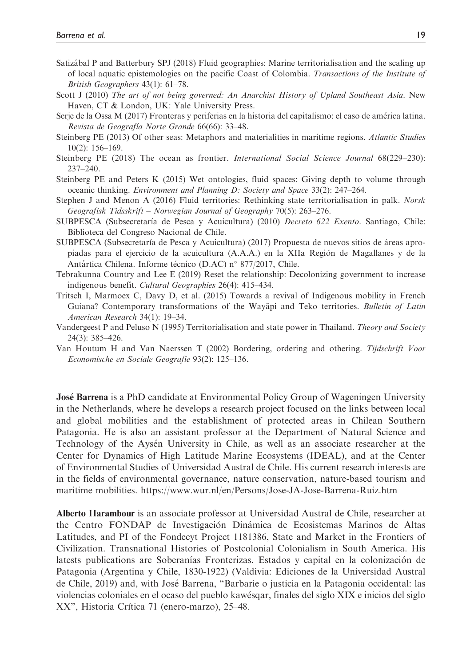- Satizábal P and Batterbury SPJ (2018) Fluid geographies: Marine territorialisation and the scaling up of local aquatic epistemologies on the pacific Coast of Colombia. Transactions of the Institute of British Geographers 43(1): 61–78.
- Scott J (2010) The art of not being governed: An Anarchist History of Upland Southeast Asia. New Haven, CT & London, UK: Yale University Press.
- Serje de la Ossa M (2017) Fronteras y periferias en la historia del capitalismo: el caso de america latina. Revista de Geografía Norte Grande 66(66): 33-48.
- Steinberg PE (2013) Of other seas: Metaphors and materialities in maritime regions. Atlantic Studies 10(2): 156–169.
- Steinberg PE (2018) The ocean as frontier. International Social Science Journal 68(229–230): 237–240.
- Steinberg PE and Peters K (2015) Wet ontologies, fluid spaces: Giving depth to volume through oceanic thinking. Environment and Planning D: Society and Space 33(2): 247–264.
- Stephen J and Menon A (2016) Fluid territories: Rethinking state territorialisation in palk. Norsk Geografisk Tidsskrift – Norwegian Journal of Geography 70(5): 263–276.
- SUBPESCA (Subsecretarıa de Pesca y Acuicultura) (2010) Decreto 622 Exento. Santiago, Chile: Biblioteca del Congreso Nacional de Chile.
- SUBPESCA (Subsecretaría de Pesca y Acuicultura) (2017) Propuesta de nuevos sitios de áreas apropiadas para el ejercicio de la acuicultura (A.A.A.) en la XIIa Region de Magallanes y de la Antártica Chilena. Informe técnico (D.AC) n° 877/2017, Chile.
- Tebrakunna Country and Lee E (2019) Reset the relationship: Decolonizing government to increase indigenous benefit. Cultural Geographies 26(4): 415–434.
- Tritsch I, Marmoex C, Davy D, et al. (2015) Towards a revival of Indigenous mobility in French Guiana? Contemporary transformations of the Wayapi and Teko territories. Bulletin of Latin American Research 34(1): 19–34.
- Vandergeest P and Peluso N (1995) Territorialisation and state power in Thailand. Theory and Society 24(3): 385–426.
- Van Houtum H and Van Naerssen T (2002) Bordering, ordering and othering. Tijdschrift Voor Economische en Sociale Geografie 93(2): 125–136.

**José Barrena** is a PhD candidate at Environmental Policy Group of Wageningen University in the Netherlands, where he develops a research project focused on the links between local and global mobilities and the establishment of protected areas in Chilean Southern Patagonia. He is also an assistant professor at the Department of Natural Science and Technology of the Aysen University in Chile, as well as an associate researcher at the Center for Dynamics of High Latitude Marine Ecosystems (IDEAL), and at the Center of Environmental Studies of Universidad Austral de Chile. His current research interests are in the fields of environmental governance, nature conservation, nature-based tourism and maritime mobilities. https://www.wur.nl/en/Persons/Jose-JA-Jose-Barrena-Ruiz.htm

Alberto Harambour is an associate professor at Universidad Austral de Chile, researcher at the Centro FONDAP de Investigación Dinámica de Ecosistemas Marinos de Altas Latitudes, and PI of the Fondecyt Project 1181386, State and Market in the Frontiers of Civilization. Transnational Histories of Postcolonial Colonialism in South America. His latests publications are Soberanías Fronterizas. Estados y capital en la colonización de Patagonia (Argentina y Chile, 1830-1922) (Valdivia: Ediciones de la Universidad Austral de Chile, 2019) and, with Jose Barrena, "Barbarie o justicia en la Patagonia occidental: las violencias coloniales en el ocaso del pueblo kawesqar, finales del siglo XIX e inicios del siglo XX", Historia Crítica 71 (enero-marzo), 25–48.